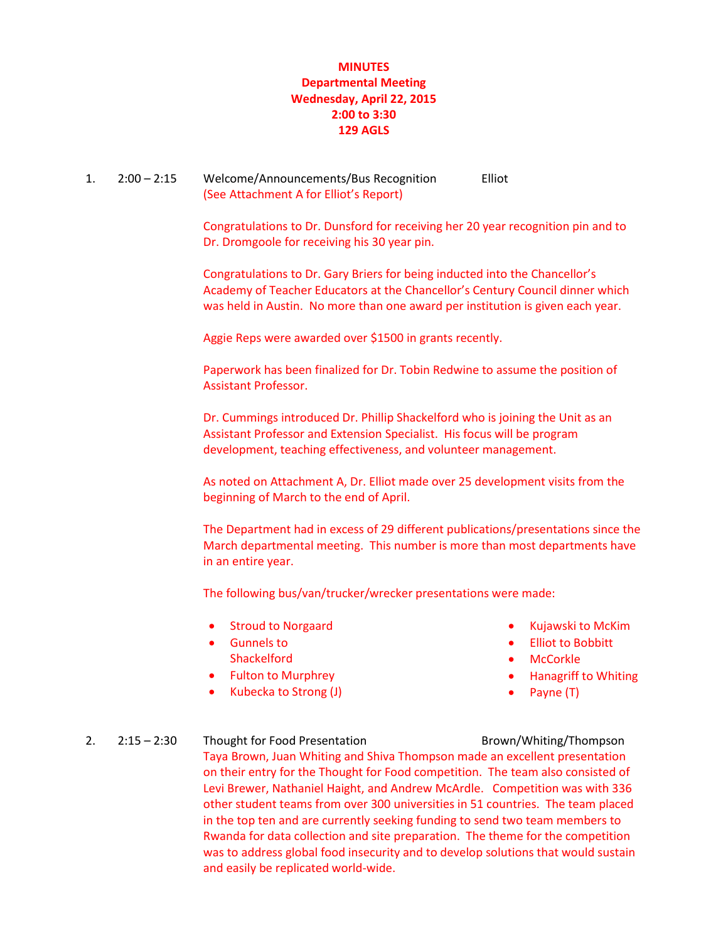# **MINUTES Departmental Meeting Wednesday, April 22, 2015 2:00 to 3:30 129 AGLS**

## 1. 2:00 – 2:15 Welcome/Announcements/Bus Recognition Elliot (See Attachment A for Elliot's Report)

Congratulations to Dr. Dunsford for receiving her 20 year recognition pin and to Dr. Dromgoole for receiving his 30 year pin.

Congratulations to Dr. Gary Briers for being inducted into the Chancellor's Academy of Teacher Educators at the Chancellor's Century Council dinner which was held in Austin. No more than one award per institution is given each year.

Aggie Reps were awarded over \$1500 in grants recently.

Paperwork has been finalized for Dr. Tobin Redwine to assume the position of Assistant Professor.

Dr. Cummings introduced Dr. Phillip Shackelford who is joining the Unit as an Assistant Professor and Extension Specialist. His focus will be program development, teaching effectiveness, and volunteer management.

As noted on Attachment A, Dr. Elliot made over 25 development visits from the beginning of March to the end of April.

The Department had in excess of 29 different publications/presentations since the March departmental meeting. This number is more than most departments have in an entire year.

The following bus/van/trucker/wrecker presentations were made:

- **•** Stroud to Norgaard
- Gunnels to **Shackelford**
- Fulton to Murphrey
- Kubecka to Strong (J)
- Kujawski to McKim
- Elliot to Bobbitt
- **McCorkle**
- Hanagriff to Whiting
- Payne (T)

# 2. 2:15 – 2:30 Thought for Food Presentation Brown/Whiting/Thompson Taya Brown, Juan Whiting and Shiva Thompson made an excellent presentation on their entry for the Thought for Food competition. The team also consisted of Levi Brewer, Nathaniel Haight, and Andrew McArdle. Competition was with 336 other student teams from over 300 universities in 51 countries. The team placed in the top ten and are currently seeking funding to send two team members to Rwanda for data collection and site preparation. The theme for the competition was to address global food insecurity and to develop solutions that would sustain and easily be replicated world-wide.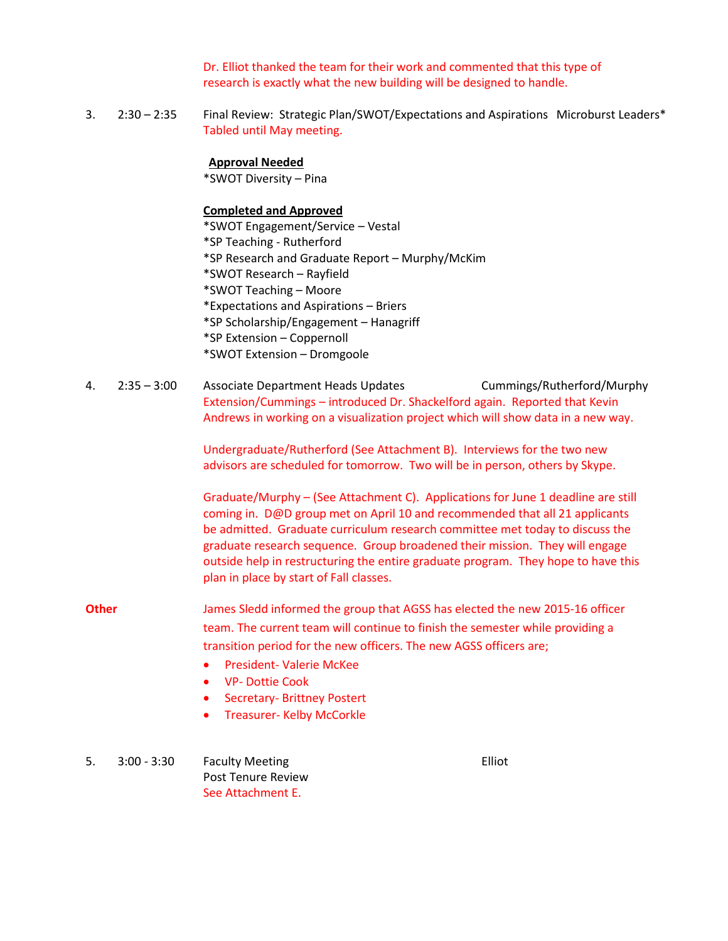Dr. Elliot thanked the team for their work and commented that this type of research is exactly what the new building will be designed to handle.

3. 2:30 – 2:35 Final Review: Strategic Plan/SWOT/Expectations and Aspirations Microburst Leaders\* Tabled until May meeting.

## **Approval Needed**

\*SWOT Diversity – Pina

## **Completed and Approved**

\*SWOT Engagement/Service – Vestal \*SP Teaching - Rutherford \*SP Research and Graduate Report – Murphy/McKim \*SWOT Research – Rayfield \*SWOT Teaching – Moore \*Expectations and Aspirations – Briers \*SP Scholarship/Engagement – Hanagriff \*SP Extension – Coppernoll \*SWOT Extension – Dromgoole

4. 2:35 – 3:00 Associate Department Heads Updates Cummings/Rutherford/Murphy Extension/Cummings – introduced Dr. Shackelford again. Reported that Kevin Andrews in working on a visualization project which will show data in a new way.

> Undergraduate/Rutherford (See Attachment B). Interviews for the two new advisors are scheduled for tomorrow. Two will be in person, others by Skype.

Graduate/Murphy – (See Attachment C). Applications for June 1 deadline are still coming in. D@D group met on April 10 and recommended that all 21 applicants be admitted. Graduate curriculum research committee met today to discuss the graduate research sequence. Group broadened their mission. They will engage outside help in restructuring the entire graduate program. They hope to have this plan in place by start of Fall classes.

- **Other** James Sledd informed the group that AGSS has elected the new 2015-16 officer team. The current team will continue to finish the semester while providing a transition period for the new officers. The new AGSS officers are;
	- **•** President- Valerie McKee
	- VP- Dottie Cook
	- Secretary- Brittney Postert
	- Treasurer- Kelby McCorkle
- 5. 3:00 3:30 Faculty Meeting Elliot Post Tenure Review See Attachment E.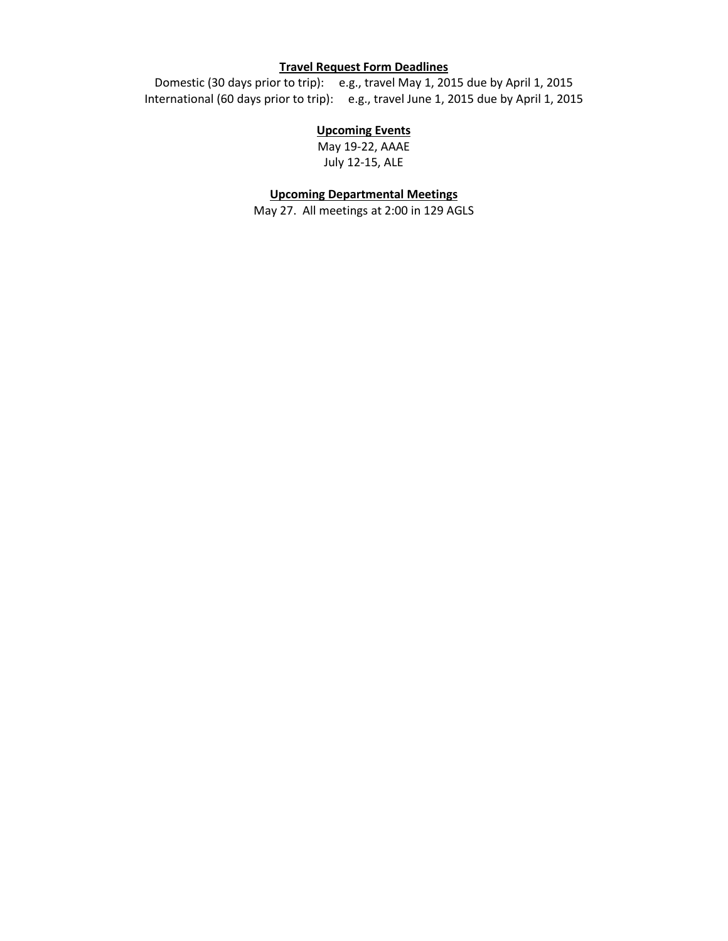## **Travel Request Form Deadlines**

Domestic (30 days prior to trip): e.g., travel May 1, 2015 due by April 1, 2015 International (60 days prior to trip): e.g., travel June 1, 2015 due by April 1, 2015

## **Upcoming Events**

May 19-22, AAAE July 12-15, ALE

#### **Upcoming Departmental Meetings**

May 27. All meetings at 2:00 in 129 AGLS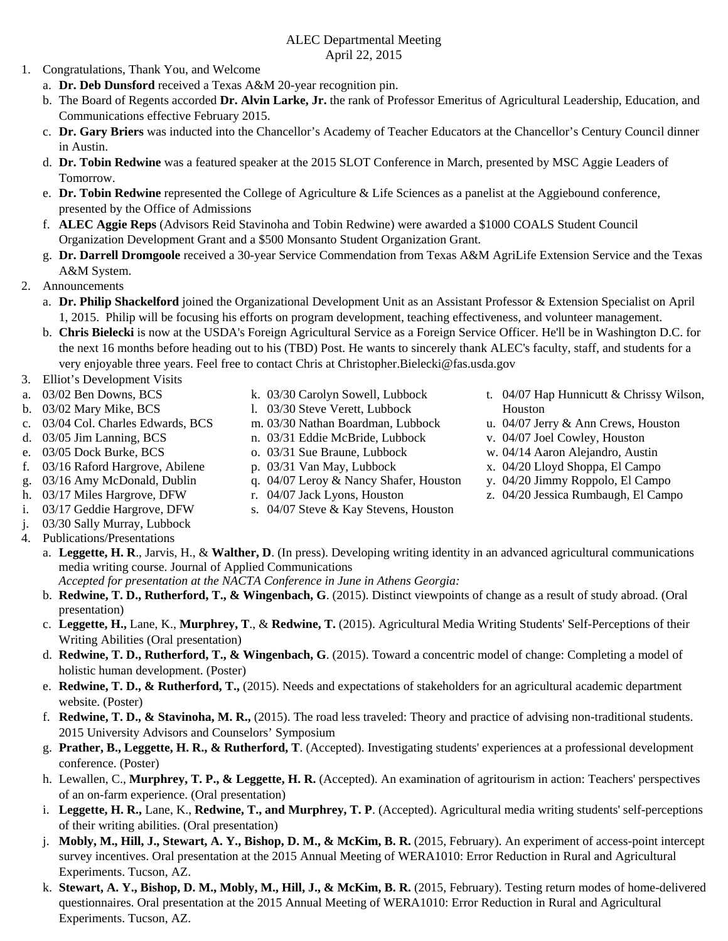## ALEC Departmental Meeting April 22, 2015

- 1. Congratulations, Thank You, and Welcome
	- a. **Dr. Deb Dunsford** received a Texas A&M 20-year recognition pin.
	- b. The Board of Regents accorded **Dr. Alvin Larke, Jr.** the rank of Professor Emeritus of Agricultural Leadership, Education, and Communications effective February 2015.
	- c. **Dr. Gary Briers** was inducted into the Chancellor's Academy of Teacher Educators at the Chancellor's Century Council dinner in Austin.
	- d. **Dr. Tobin Redwine** was a featured speaker at the 2015 SLOT Conference in March, presented by MSC Aggie Leaders of Tomorrow.
	- e. **Dr. Tobin Redwine** represented the College of Agriculture & Life Sciences as a panelist at the Aggiebound conference, presented by the Office of Admissions
	- f. **ALEC Aggie Reps** (Advisors Reid Stavinoha and Tobin Redwine) were awarded a \$1000 COALS Student Council Organization Development Grant and a \$500 Monsanto Student Organization Grant.
	- g. **Dr. Darrell Dromgoole** received a 30-year Service Commendation from Texas A&M AgriLife Extension Service and the Texas A&M System.
- 2. Announcements
	- a. **Dr. Philip Shackelford** joined the Organizational Development Unit as an Assistant Professor & Extension Specialist on April 1, 2015. Philip will be focusing his efforts on program development, teaching effectiveness, and volunteer management.
	- b. **Chris Bielecki** is now at the USDA's Foreign Agricultural Service as a Foreign Service Officer. He'll be in Washington D.C. for the next 16 months before heading out to his (TBD) Post. He wants to sincerely thank ALEC's faculty, staff, and students for a very enjoyable three years. Feel free to contact Chris at Christopher.Bielecki@fas.usda.gov
- 3. Elliot's Development Visits
- a. 03/02 Ben Downs, BCS
- b. 03/02 Mary Mike, BCS
- c. 03/04 Col. Charles Edwards, BCS
- d. 03/05 Jim Lanning, BCS
- e. 03/05 Dock Burke, BCS
- f. 03/16 Raford Hargrove, Abilene
- g. 03/16 Amy McDonald, Dublin
- h. 03/17 Miles Hargrove, DFW
- i. 03/17 Geddie Hargrove, DFW
- j. 03/30 Sally Murray, Lubbock
- 4. Publications/Presentations
- k. 03/30 Carolyn Sowell, Lubbock
- l. 03/30 Steve Verett, Lubbock
- m. 03/30 Nathan Boardman, Lubbock
- n. 03/31 Eddie McBride, Lubbock
- o. 03/31 Sue Braune, Lubbock
- p. 03/31 Van May, Lubbock
- q. 04/07 Leroy & Nancy Shafer, Houston
- r. 04/07 Jack Lyons, Houston
- s. 04/07 Steve & Kay Stevens, Houston
- t. 04/07 Hap Hunnicutt & Chrissy Wilson, Houston
- u. 04/07 Jerry & Ann Crews, Houston
- v. 04/07 Joel Cowley, Houston
- w. 04/14 Aaron Alejandro, Austin
- x. 04/20 Lloyd Shoppa, El Campo
- y. 04/20 Jimmy Roppolo, El Campo
- z. 04/20 Jessica Rumbaugh, El Campo
- a. **Leggette, H. R**., Jarvis, H., & **Walther, D**. (In press). Developing writing identity in an advanced agricultural communications media writing course. Journal of Applied Communications

*Accepted for presentation at the NACTA Conference in June in Athens Georgia:* 

- b. **Redwine, T. D., Rutherford, T., & Wingenbach, G**. (2015). Distinct viewpoints of change as a result of study abroad. (Oral presentation)
- c. **Leggette, H.,** Lane, K., **Murphrey, T**., & **Redwine, T.** (2015). Agricultural Media Writing Students' Self-Perceptions of their Writing Abilities (Oral presentation)
- d. **Redwine, T. D., Rutherford, T., & Wingenbach, G**. (2015). Toward a concentric model of change: Completing a model of holistic human development. (Poster)
- e. **Redwine, T. D., & Rutherford, T.,** (2015). Needs and expectations of stakeholders for an agricultural academic department website. (Poster)
- f. **Redwine, T. D., & Stavinoha, M. R.,** (2015). The road less traveled: Theory and practice of advising non-traditional students. 2015 University Advisors and Counselors' Symposium
- g. **Prather, B., Leggette, H. R., & Rutherford, T**. (Accepted). Investigating students' experiences at a professional development conference. (Poster)
- h. Lewallen, C., **Murphrey, T. P., & Leggette, H. R.** (Accepted). An examination of agritourism in action: Teachers' perspectives of an on-farm experience. (Oral presentation)
- i. **Leggette, H. R.,** Lane, K., **Redwine, T., and Murphrey, T. P**. (Accepted). Agricultural media writing students' self-perceptions of their writing abilities. (Oral presentation)
- j. **Mobly, M., Hill, J., Stewart, A. Y., Bishop, D. M., & McKim, B. R.** (2015, February). An experiment of access-point intercept survey incentives. Oral presentation at the 2015 Annual Meeting of WERA1010: Error Reduction in Rural and Agricultural Experiments. Tucson, AZ.
- k. **Stewart, A. Y., Bishop, D. M., Mobly, M., Hill, J., & McKim, B. R.** (2015, February). Testing return modes of home-delivered questionnaires. Oral presentation at the 2015 Annual Meeting of WERA1010: Error Reduction in Rural and Agricultural Experiments. Tucson, AZ.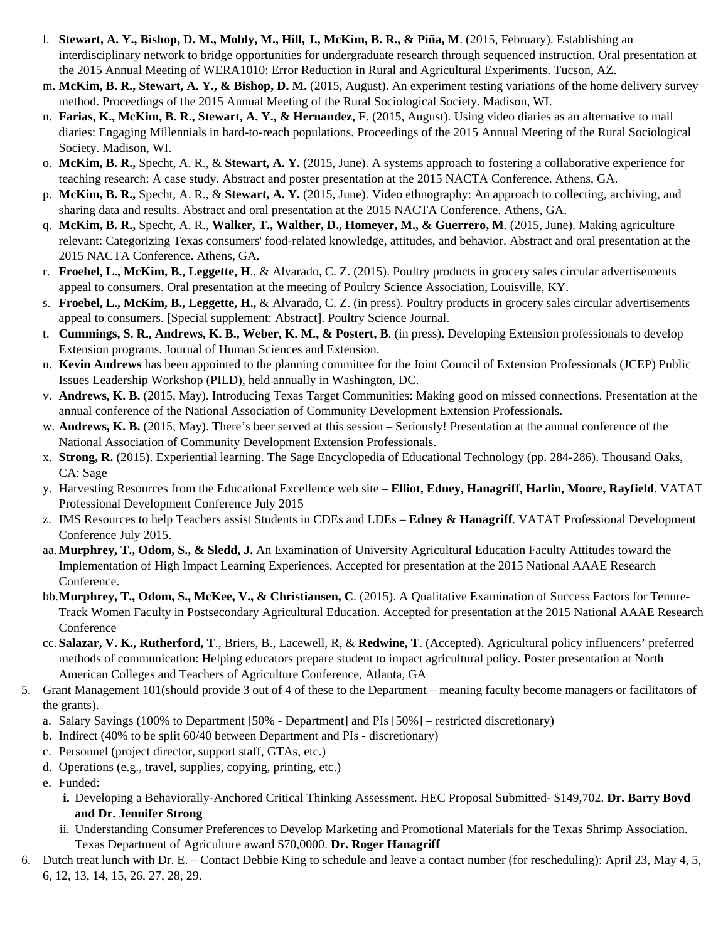- l. **Stewart, A. Y., Bishop, D. M., Mobly, M., Hill, J., McKim, B. R., & Piña, M**. (2015, February). Establishing an interdisciplinary network to bridge opportunities for undergraduate research through sequenced instruction. Oral presentation at the 2015 Annual Meeting of WERA1010: Error Reduction in Rural and Agricultural Experiments. Tucson, AZ.
- m. **McKim, B. R., Stewart, A. Y., & Bishop, D. M.** (2015, August). An experiment testing variations of the home delivery survey method. Proceedings of the 2015 Annual Meeting of the Rural Sociological Society. Madison, WI.
- n. **Farias, K., McKim, B. R., Stewart, A. Y., & Hernandez, F.** (2015, August). Using video diaries as an alternative to mail diaries: Engaging Millennials in hard-to-reach populations. Proceedings of the 2015 Annual Meeting of the Rural Sociological Society. Madison, WI.
- o. **McKim, B. R.,** Specht, A. R., & **Stewart, A. Y.** (2015, June). A systems approach to fostering a collaborative experience for teaching research: A case study. Abstract and poster presentation at the 2015 NACTA Conference. Athens, GA.
- p. **McKim, B. R.,** Specht, A. R., & **Stewart, A. Y.** (2015, June). Video ethnography: An approach to collecting, archiving, and sharing data and results. Abstract and oral presentation at the 2015 NACTA Conference. Athens, GA.
- q. **McKim, B. R.,** Specht, A. R., **Walker, T., Walther, D., Homeyer, M., & Guerrero, M**. (2015, June). Making agriculture relevant: Categorizing Texas consumers' food-related knowledge, attitudes, and behavior. Abstract and oral presentation at the 2015 NACTA Conference. Athens, GA.
- r. **Froebel, L., McKim, B., Leggette, H**., & Alvarado, C. Z. (2015). Poultry products in grocery sales circular advertisements appeal to consumers. Oral presentation at the meeting of Poultry Science Association, Louisville, KY.
- s. **Froebel, L., McKim, B., Leggette, H.,** & Alvarado, C. Z. (in press). Poultry products in grocery sales circular advertisements appeal to consumers. [Special supplement: Abstract]. Poultry Science Journal.
- t. **Cummings, S. R., Andrews, K. B., Weber, K. M., & Postert, B**. (in press). Developing Extension professionals to develop Extension programs. Journal of Human Sciences and Extension.
- u. **Kevin Andrews** has been appointed to the planning committee for the Joint Council of Extension Professionals (JCEP) Public Issues Leadership Workshop (PILD), held annually in Washington, DC.
- v. **Andrews, K. B.** (2015, May). Introducing Texas Target Communities: Making good on missed connections. Presentation at the annual conference of the National Association of Community Development Extension Professionals.
- w. **Andrews, K. B.** (2015, May). There's beer served at this session Seriously! Presentation at the annual conference of the National Association of Community Development Extension Professionals.
- x. **Strong, R.** (2015). Experiential learning. The Sage Encyclopedia of Educational Technology (pp. 284-286). Thousand Oaks, CA: Sage
- y. Harvesting Resources from the Educational Excellence web site **Elliot, Edney, Hanagriff, Harlin, Moore, Rayfield**. VATAT Professional Development Conference July 2015
- z. IMS Resources to help Teachers assist Students in CDEs and LDEs **Edney & Hanagriff**. VATAT Professional Development Conference July 2015.
- aa.**Murphrey, T., Odom, S., & Sledd, J.** An Examination of University Agricultural Education Faculty Attitudes toward the Implementation of High Impact Learning Experiences. Accepted for presentation at the 2015 National AAAE Research Conference.
- bb.**Murphrey, T., Odom, S., McKee, V., & Christiansen, C**. (2015). A Qualitative Examination of Success Factors for Tenure-Track Women Faculty in Postsecondary Agricultural Education. Accepted for presentation at the 2015 National AAAE Research Conference
- cc. **Salazar, V. K., Rutherford, T**., Briers, B., Lacewell, R, & **Redwine, T**. (Accepted). Agricultural policy influencers' preferred methods of communication: Helping educators prepare student to impact agricultural policy. Poster presentation at North American Colleges and Teachers of Agriculture Conference, Atlanta, GA
- 5. Grant Management 101(should provide 3 out of 4 of these to the Department meaning faculty become managers or facilitators of the grants).
	- a. Salary Savings (100% to Department [50% Department] and PIs [50%] restricted discretionary)
	- b. Indirect (40% to be split 60/40 between Department and PIs discretionary)
	- c. Personnel (project director, support staff, GTAs, etc.)
	- d. Operations (e.g., travel, supplies, copying, printing, etc.)
	- e. Funded:
		- **i.** Developing a Behaviorally-Anchored Critical Thinking Assessment. HEC Proposal Submitted- \$149,702. **Dr. Barry Boyd and Dr. Jennifer Strong**
		- ii. Understanding Consumer Preferences to Develop Marketing and Promotional Materials for the Texas Shrimp Association. Texas Department of Agriculture award \$70,0000. **Dr. Roger Hanagriff**
- 6. Dutch treat lunch with Dr. E. Contact Debbie King to schedule and leave a contact number (for rescheduling): April 23, May 4, 5, 6, 12, 13, 14, 15, 26, 27, 28, 29.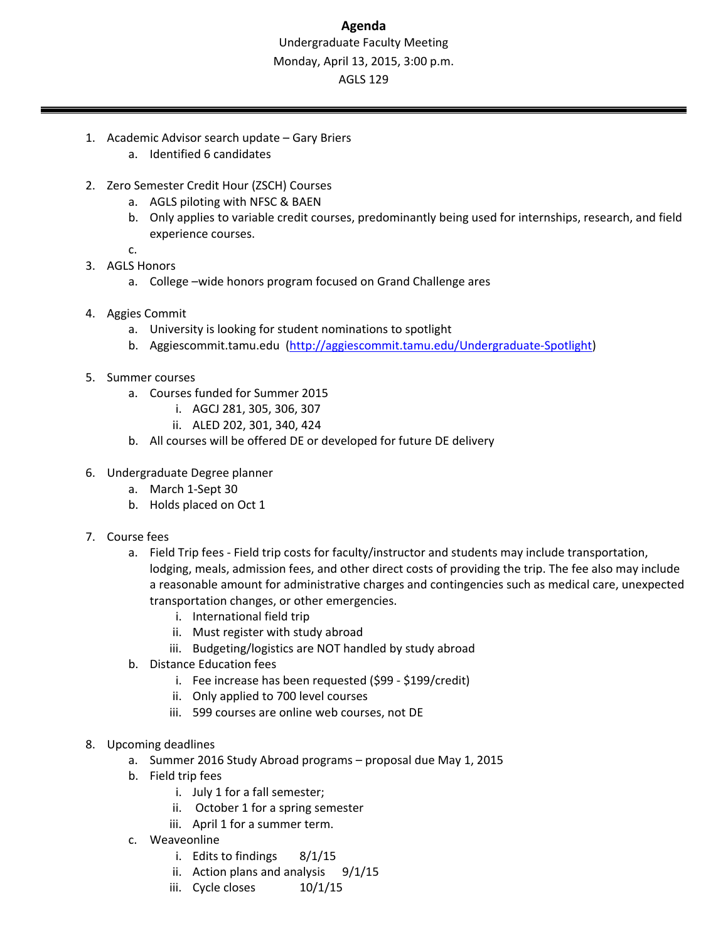# **Agenda** Undergraduate Faculty Meeting Monday, April 13, 2015, 3:00 p.m. AGLS 129

- 1. Academic Advisor search update Gary Briers
	- a. Identified 6 candidates
- 2. Zero Semester Credit Hour (ZSCH) Courses
	- a. AGLS piloting with NFSC & BAEN
	- b. Only applies to variable credit courses, predominantly being used for internships, research, and field experience courses.
	- c.
- 3. AGLS Honors
	- a. College –wide honors program focused on Grand Challenge ares
- 4. Aggies Commit
	- a. University is looking for student nominations to spotlight
	- b. Aggiescommit.tamu.edu (http://aggiescommit.tamu.edu/Undergraduate-Spotlight)
- 5. Summer courses
	- a. Courses funded for Summer 2015
		- i. AGCJ 281, 305, 306, 307
		- ii. ALED 202, 301, 340, 424
	- b. All courses will be offered DE or developed for future DE delivery
- 6. Undergraduate Degree planner
	- a. March 1‐Sept 30
	- b. Holds placed on Oct 1
- 7. Course fees
	- a. Field Trip fees Field trip costs for faculty/instructor and students may include transportation, lodging, meals, admission fees, and other direct costs of providing the trip. The fee also may include a reasonable amount for administrative charges and contingencies such as medical care, unexpected transportation changes, or other emergencies.
		- i. International field trip
		- ii. Must register with study abroad
		- iii. Budgeting/logistics are NOT handled by study abroad
	- b. Distance Education fees
		- i. Fee increase has been requested (\$99 ‐ \$199/credit)
		- ii. Only applied to 700 level courses
		- iii. 599 courses are online web courses, not DE
- 8. Upcoming deadlines
	- a. Summer 2016 Study Abroad programs proposal due May 1, 2015
	- b. Field trip fees
		- i. July 1 for a fall semester;
		- ii. October 1 for a spring semester
		- iii. April 1 for a summer term.
	- c. Weaveonline
		- i. Edits to findings 8/1/15
		- ii. Action plans and analysis  $9/1/15$
		- iii. Cycle closes 10/1/15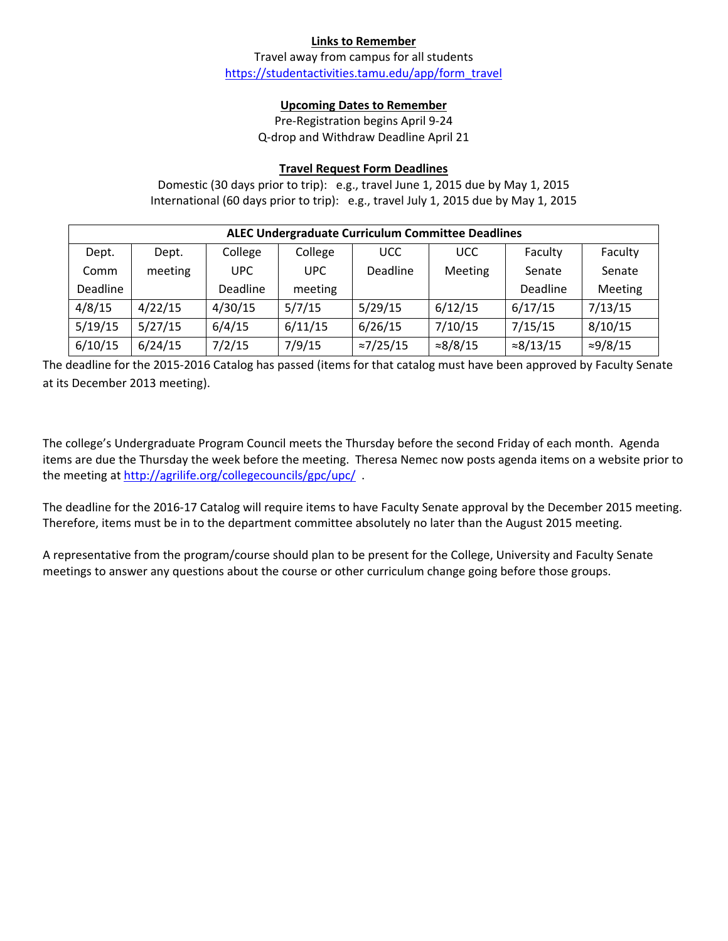## **Links to Remember**

Travel away from campus for all students https://studentactivities.tamu.edu/app/form\_travel

## **Upcoming Dates to Remember**

Pre‐Registration begins April 9‐24 Q‐drop and Withdraw Deadline April 21

## **Travel Request Form Deadlines**

Domestic (30 days prior to trip): e.g., travel June 1, 2015 due by May 1, 2015 International (60 days prior to trip): e.g., travel July 1, 2015 due by May 1, 2015

| ALEC Undergraduate Curriculum Committee Deadlines |         |          |            |                   |                  |                   |                  |  |  |
|---------------------------------------------------|---------|----------|------------|-------------------|------------------|-------------------|------------------|--|--|
| Dept.                                             | Dept.   | College  | College    | <b>UCC</b>        | <b>UCC</b>       | Faculty           | Faculty          |  |  |
| Comm                                              | meeting | UPC.     | <b>UPC</b> | Deadline          | <b>Meeting</b>   | Senate            | Senate           |  |  |
| Deadline                                          |         | Deadline | meeting    |                   |                  | Deadline          | Meeting          |  |  |
| 4/8/15                                            | 4/22/15 | 4/30/15  | 5/7/15     | 5/29/15           | 6/12/15          | 6/17/15           | 7/13/15          |  |  |
| 5/19/15                                           | 5/27/15 | 6/4/15   | 6/11/15    | 6/26/15           | 7/10/15          | 7/15/15           | 8/10/15          |  |  |
| 6/10/15                                           | 6/24/15 | 7/2/15   | 7/9/15     | $\approx$ 7/25/15 | $\approx 8/8/15$ | $\approx 8/13/15$ | $\approx 9/8/15$ |  |  |

The deadline for the 2015‐2016 Catalog has passed (items for that catalog must have been approved by Faculty Senate at its December 2013 meeting).

The college's Undergraduate Program Council meets the Thursday before the second Friday of each month. Agenda items are due the Thursday the week before the meeting. Theresa Nemec now posts agenda items on a website prior to the meeting at http://agrilife.org/collegecouncils/gpc/upc/ .

The deadline for the 2016‐17 Catalog will require items to have Faculty Senate approval by the December 2015 meeting. Therefore, items must be in to the department committee absolutely no later than the August 2015 meeting.

A representative from the program/course should plan to be present for the College, University and Faculty Senate meetings to answer any questions about the course or other curriculum change going before those groups.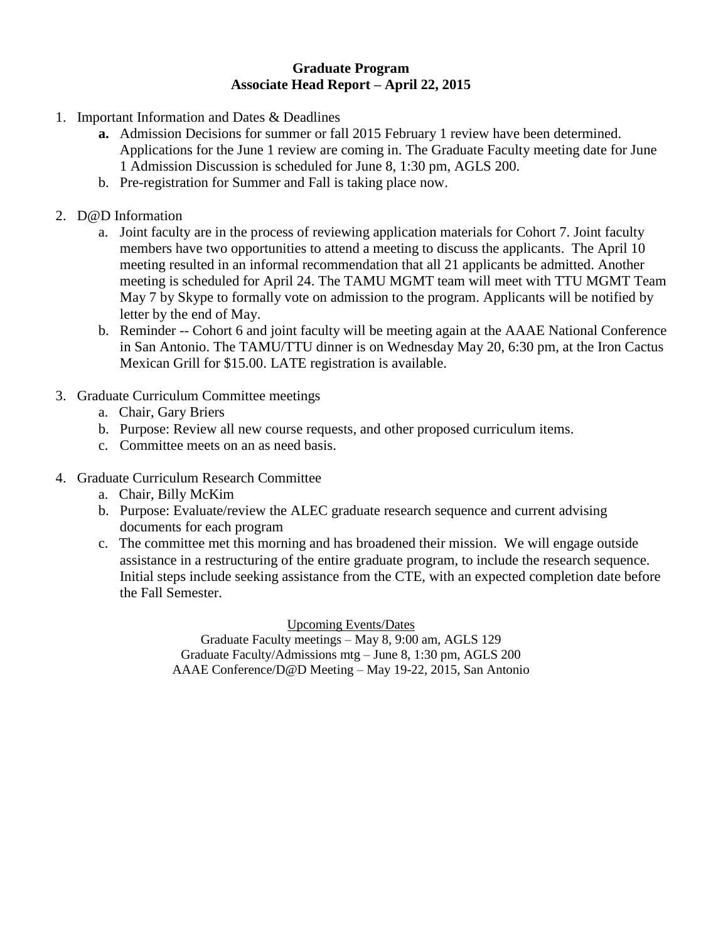# **Graduate Program Associate Head Report – April 22, 2015**

- 1. Important Information and Dates & Deadlines
	- **a.** Admission Decisions for summer or fall 2015 February 1 review have been determined. Applications for the June 1 review are coming in. The Graduate Faculty meeting date for June 1 Admission Discussion is scheduled for June 8, 1:30 pm, AGLS 200.
	- b. Pre-registration for Summer and Fall is taking place now.
- 2. D@D Information
	- a. Joint faculty are in the process of reviewing application materials for Cohort 7. Joint faculty members have two opportunities to attend a meeting to discuss the applicants. The April 10 meeting resulted in an informal recommendation that all 21 applicants be admitted. Another meeting is scheduled for April 24. The TAMU MGMT team will meet with TTU MGMT Team May 7 by Skype to formally vote on admission to the program. Applicants will be notified by letter by the end of May.
	- b. Reminder -- Cohort 6 and joint faculty will be meeting again at the AAAE National Conference in San Antonio. The TAMU/TTU dinner is on Wednesday May 20, 6:30 pm, at the Iron Cactus Mexican Grill for \$15.00. LATE registration is available.
- 3. Graduate Curriculum Committee meetings
	- a. Chair, Gary Briers
	- b. Purpose: Review all new course requests, and other proposed curriculum items.
	- c. Committee meets on an as need basis.
- 4. Graduate Curriculum Research Committee
	- a. Chair, Billy McKim
	- b. Purpose: Evaluate/review the ALEC graduate research sequence and current advising documents for each program
	- c. The committee met this morning and has broadened their mission. We will engage outside assistance in a restructuring of the entire graduate program, to include the research sequence. Initial steps include seeking assistance from the CTE, with an expected completion date before the Fall Semester.

Upcoming Events/Dates Graduate Faculty meetings – May 8, 9:00 am, AGLS 129 Graduate Faculty/Admissions mtg – June 8, 1:30 pm, AGLS 200 AAAE Conference/D@D Meeting – May 19-22, 2015, San Antonio